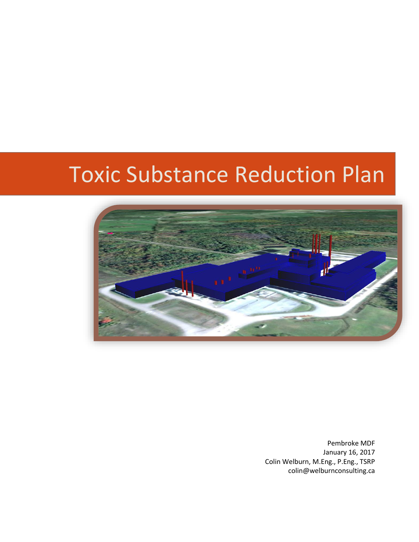# Toxic Substance Reduction Plan



Pembroke MDF January 16, 2017 Colin Welburn, M.Eng., P.Eng., TSRP colin@welburnconsulting.ca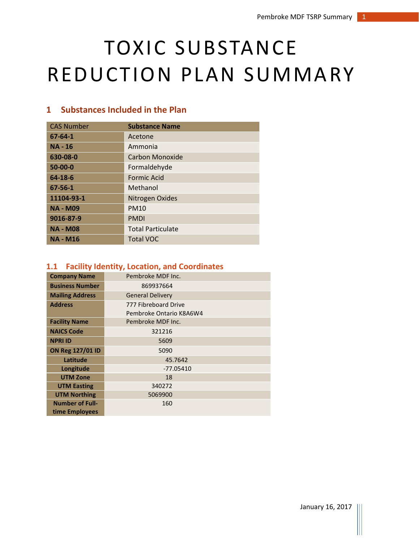# TOXIC SUBSTANCE REDUCTION PLAN SUMMARY

# **1 Substances Included in the Plan**

| <b>CAS Number</b> | <b>Substance Name</b>    |
|-------------------|--------------------------|
| $67 - 64 - 1$     | Acetone                  |
| <b>NA - 16</b>    | Ammonia                  |
| 630-08-0          | Carbon Monoxide          |
| $50 - 00 - 0$     | Formaldehyde             |
| 64-18-6           | <b>Formic Acid</b>       |
| 67-56-1           | Methanol                 |
| 11104-93-1        | Nitrogen Oxides          |
| <b>NA - M09</b>   | <b>PM10</b>              |
| 9016-87-9         | <b>PMDI</b>              |
| <b>NA - M08</b>   | <b>Total Particulate</b> |
| <b>NA - M16</b>   | <b>Total VOC</b>         |

## **1.1 Facility Identity, Location, and Coordinates**

| <b>Company Name</b>    | Pembroke MDF Inc.                               |  |
|------------------------|-------------------------------------------------|--|
| <b>Business Number</b> | 869937664                                       |  |
| <b>Mailing Address</b> | <b>General Delivery</b>                         |  |
| <b>Address</b>         | 777 Fibreboard Drive<br>Pembroke Ontario K8A6W4 |  |
| <b>Facility Name</b>   | Pembroke MDF Inc.                               |  |
| <b>NAICS Code</b>      | 321216                                          |  |
| <b>NPRI ID</b>         | 5609                                            |  |
| ON Reg 127/01 ID       | 5090                                            |  |
| Latitude               | 45.7642                                         |  |
| Longitude              | $-77.05410$                                     |  |
| <b>UTM Zone</b>        | 18                                              |  |
| <b>UTM Easting</b>     | 340272                                          |  |
| <b>UTM Northing</b>    | 5069900                                         |  |
| <b>Number of Full-</b> | 160                                             |  |
| time Employees         |                                                 |  |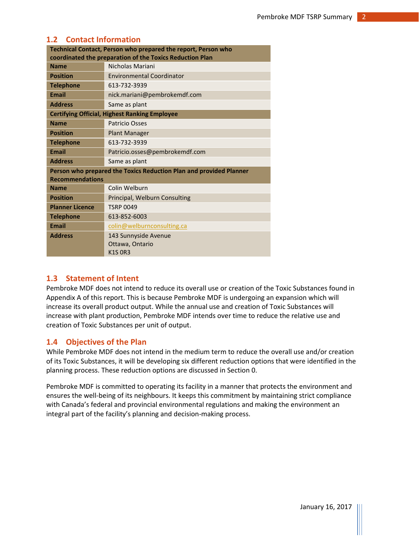## **1.2 Contact Information**

| Technical Contact, Person who prepared the report, Person who |                                                                    |  |
|---------------------------------------------------------------|--------------------------------------------------------------------|--|
| coordinated the preparation of the Toxics Reduction Plan      |                                                                    |  |
| <b>Name</b>                                                   | Nicholas Mariani                                                   |  |
| <b>Position</b>                                               | <b>Environmental Coordinator</b>                                   |  |
| <b>Telephone</b>                                              | 613-732-3939                                                       |  |
| <b>Email</b>                                                  | nick.mariani@pembrokemdf.com                                       |  |
| <b>Address</b>                                                | Same as plant                                                      |  |
| <b>Certifying Official, Highest Ranking Employee</b>          |                                                                    |  |
| <b>Name</b>                                                   | <b>Patricio Osses</b>                                              |  |
| <b>Position</b>                                               | <b>Plant Manager</b>                                               |  |
| <b>Telephone</b>                                              | 613-732-3939                                                       |  |
| <b>Email</b>                                                  | Patricio.osses@pembrokemdf.com                                     |  |
| <b>Address</b>                                                | Same as plant                                                      |  |
|                                                               | Person who prepared the Toxics Reduction Plan and provided Planner |  |
| <b>Recommendations</b>                                        |                                                                    |  |
| <b>Name</b>                                                   | Colin Welburn                                                      |  |
| <b>Position</b>                                               | Principal, Welburn Consulting                                      |  |
| <b>Planner Licence</b>                                        | <b>TSRP 0049</b>                                                   |  |
| <b>Telephone</b>                                              | 613-852-6003                                                       |  |
| <b>Email</b>                                                  | colin@welburnconsulting.ca                                         |  |
| <b>Address</b>                                                | 143 Sunnyside Avenue                                               |  |
|                                                               | Ottawa, Ontario                                                    |  |
|                                                               | <b>K1S OR3</b>                                                     |  |

## **1.3 Statement of Intent**

Pembroke MDF does not intend to reduce its overall use or creation of the Toxic Substances found in Appendix A of this report. This is because Pembroke MDF is undergoing an expansion which will increase its overall product output. While the annual use and creation of Toxic Substances will increase with plant production, Pembroke MDF intends over time to reduce the relative use and creation of Toxic Substances per unit of output.

### **1.4 Objectives of the Plan**

While Pembroke MDF does not intend in the medium term to reduce the overall use and/or creation of its Toxic Substances, it will be developing six different reduction options that were identified in the planning process. These reduction options are discussed in Section 0.

Pembroke MDF is committed to operating its facility in a manner that protects the environment and ensures the well-being of its neighbours. It keeps this commitment by maintaining strict compliance with Canada's federal and provincial environmental regulations and making the environment an integral part of the facility's planning and decision-making process.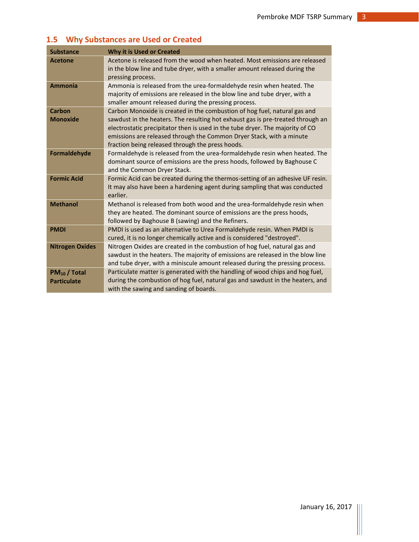# **1.5 Why Substances are Used or Created**

| <b>Substance</b>                        | Why it is Used or Created                                                                                                                                                                                                                                                                                                                                                 |
|-----------------------------------------|---------------------------------------------------------------------------------------------------------------------------------------------------------------------------------------------------------------------------------------------------------------------------------------------------------------------------------------------------------------------------|
| <b>Acetone</b>                          | Acetone is released from the wood when heated. Most emissions are released<br>in the blow line and tube dryer, with a smaller amount released during the<br>pressing process.                                                                                                                                                                                             |
| <b>Ammonia</b>                          | Ammonia is released from the urea-formaldehyde resin when heated. The<br>majority of emissions are released in the blow line and tube dryer, with a<br>smaller amount released during the pressing process.                                                                                                                                                               |
| Carbon<br><b>Monoxide</b>               | Carbon Monoxide is created in the combustion of hog fuel, natural gas and<br>sawdust in the heaters. The resulting hot exhaust gas is pre-treated through an<br>electrostatic precipitator then is used in the tube dryer. The majority of CO<br>emissions are released through the Common Dryer Stack, with a minute<br>fraction being released through the press hoods. |
| Formaldehyde                            | Formaldehyde is released from the urea-formaldehyde resin when heated. The<br>dominant source of emissions are the press hoods, followed by Baghouse C<br>and the Common Dryer Stack.                                                                                                                                                                                     |
| <b>Formic Acid</b>                      | Formic Acid can be created during the thermos-setting of an adhesive UF resin.<br>It may also have been a hardening agent during sampling that was conducted<br>earlier.                                                                                                                                                                                                  |
| <b>Methanol</b>                         | Methanol is released from both wood and the urea-formaldehyde resin when<br>they are heated. The dominant source of emissions are the press hoods,<br>followed by Baghouse B (sawing) and the Refiners.                                                                                                                                                                   |
| <b>PMDI</b>                             | PMDI is used as an alternative to Urea Formaldehyde resin. When PMDI is<br>cured, it is no longer chemically active and is considered "destroyed".                                                                                                                                                                                                                        |
| <b>Nitrogen Oxides</b>                  | Nitrogen Oxides are created in the combustion of hog fuel, natural gas and<br>sawdust in the heaters. The majority of emissions are released in the blow line<br>and tube dryer, with a miniscule amount released during the pressing process.                                                                                                                            |
| $PM_{10}$ / Total<br><b>Particulate</b> | Particulate matter is generated with the handling of wood chips and hog fuel,<br>during the combustion of hog fuel, natural gas and sawdust in the heaters, and<br>with the sawing and sanding of boards.                                                                                                                                                                 |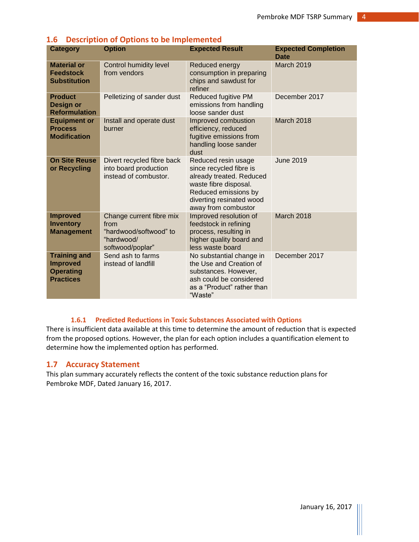| <b>Category</b>                                                                | <b>Option</b>                                                                                | <b>Expected Result</b>                                                                                                                                                         | <b>Expected Completion</b><br><b>Date</b> |
|--------------------------------------------------------------------------------|----------------------------------------------------------------------------------------------|--------------------------------------------------------------------------------------------------------------------------------------------------------------------------------|-------------------------------------------|
| <b>Material or</b><br><b>Feedstock</b><br><b>Substitution</b>                  | <b>Control humidity level</b><br>from vendors                                                | Reduced energy<br>consumption in preparing<br>chips and sawdust for<br>refiner                                                                                                 | March 2019                                |
| <b>Product</b><br><b>Design or</b><br><b>Reformulation</b>                     | Pelletizing of sander dust                                                                   | Reduced fugitive PM<br>emissions from handling<br>loose sander dust                                                                                                            | December 2017                             |
| <b>Equipment or</b><br><b>Process</b><br><b>Modification</b>                   | Install and operate dust<br>burner                                                           | Improved combustion<br>efficiency, reduced<br>fugitive emissions from<br>handling loose sander<br>dust                                                                         | March 2018                                |
| <b>On Site Reuse</b><br>or Recycling                                           | Divert recycled fibre back<br>into board production<br>instead of combustor.                 | Reduced resin usage<br>since recycled fibre is<br>already treated. Reduced<br>waste fibre disposal.<br>Reduced emissions by<br>diverting resinated wood<br>away from combustor | <b>June 2019</b>                          |
| <b>Improved</b><br><b>Inventory</b><br><b>Management</b>                       | Change current fibre mix<br>from<br>"hardwood/softwood" to<br>"hardwood/<br>softwood/poplar" | Improved resolution of<br>feedstock in refining<br>process, resulting in<br>higher quality board and<br>less waste board                                                       | <b>March 2018</b>                         |
| <b>Training and</b><br><b>Improved</b><br><b>Operating</b><br><b>Practices</b> | Send ash to farms<br>instead of landfill                                                     | No substantial change in<br>the Use and Creation of<br>substances. However,<br>ash could be considered<br>as a "Product" rather than<br>"Waste"                                | December 2017                             |

# **1.6 Description of Options to be Implemented**

## **1.6.1 Predicted Reductions in Toxic Substances Associated with Options**

There is insufficient data available at this time to determine the amount of reduction that is expected from the proposed options. However, the plan for each option includes a quantification element to determine how the implemented option has performed.

### **1.7 Accuracy Statement**

This plan summary accurately reflects the content of the toxic substance reduction plans for Pembroke MDF, Dated January 16, 2017.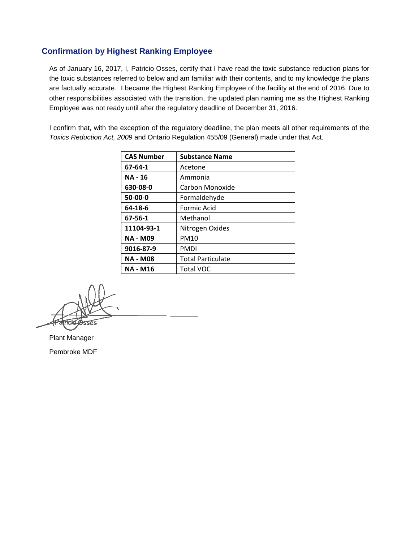## **Confirmation by Highest Ranking Employee**

As of January 16, 2017, I, Patricio Osses, certify that I have read the toxic substance reduction plans for the toxic substances referred to below and am familiar with their contents, and to my knowledge the plans are factually accurate. I became the Highest Ranking Employee of the facility at the end of 2016. Due to other responsibilities associated with the transition, the updated plan naming me as the Highest Ranking Employee was not ready until after the regulatory deadline of December 31, 2016.

I confirm that, with the exception of the regulatory deadline, the plan meets all other requirements of the *Toxics Reduction Act, 2009* and Ontario Regulation 455/09 (General) made under that Act.

| <b>CAS Number</b> | <b>Substance Name</b>    |
|-------------------|--------------------------|
| 67-64-1           | Acetone                  |
| <b>NA - 16</b>    | Ammonia                  |
| 630-08-0          | Carbon Monoxide          |
| 50-00-0           | Formaldehyde             |
| 64-18-6           | Formic Acid              |
| 67-56-1           | Methanol                 |
| 11104-93-1        | Nitrogen Oxides          |
| <b>NA - M09</b>   | PM10                     |
| 9016-87-9         | PMDI                     |
| <b>NA - M08</b>   | <b>Total Particulate</b> |
| NA - M16          | <b>Total VOC</b>         |

Fick ද්පත

Plant Manager Pembroke MDF